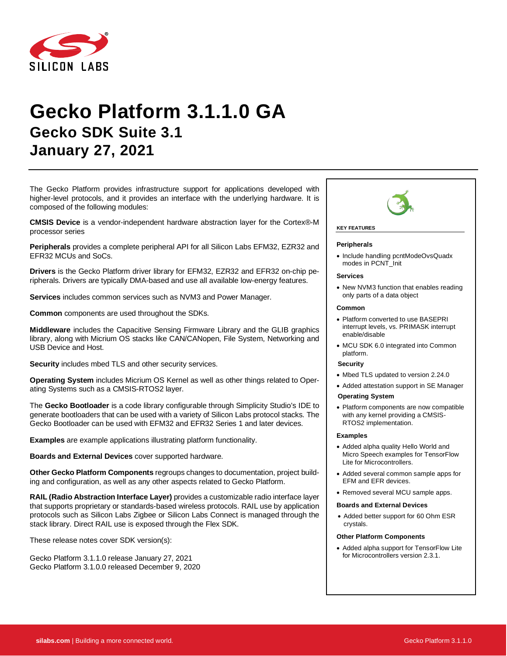

# **Gecko Platform 3.1.1.0 GA Gecko SDK Suite 3.1 January 27, 2021**

The Gecko Platform provides infrastructure support for applications developed with higher-level protocols, and it provides an interface with the underlying hardware. It is composed of the following modules:

**CMSIS Device** is a vendor-independent hardware abstraction layer for the Cortex®-M processor series

**Peripherals** provides a complete peripheral API for all Silicon Labs EFM32, EZR32 and EFR32 MCUs and SoCs.

**Drivers** is the Gecko Platform driver library for EFM32, EZR32 and EFR32 on-chip peripherals. Drivers are typically DMA-based and use all available low-energy features.

**Services** includes common services such as NVM3 and Power Manager.

**Common** components are used throughout the SDKs.

**Middleware** includes the Capacitive Sensing Firmware Library and the GLIB graphics library, along with Micrium OS stacks like CAN/CANopen, File System, Networking and USB Device and Host.

**Security** includes mbed TLS and other security services.

**Operating System** includes Micrium OS Kernel as well as other things related to Operating Systems such as a CMSIS-RTOS2 layer.

The **Gecko Bootloader** is a code library configurable through Simplicity Studio's IDE to generate bootloaders that can be used with a variety of Silicon Labs protocol stacks. The Gecko Bootloader can be used with EFM32 and EFR32 Series 1 and later devices.

**Examples** are example applications illustrating platform functionality.

**Boards and External Devices** cover supported hardware.

**Other Gecko Platform Components** regroups changes to documentation, project building and configuration, as well as any other aspects related to Gecko Platform.

**RAIL (Radio Abstraction Interface Layer)** provides a customizable radio interface layer that supports proprietary or standards-based wireless protocols. RAIL use by application protocols such as Silicon Labs Zigbee or Silicon Labs Connect is managed through the stack library. Direct RAIL use is exposed through the Flex SDK.

These release notes cover SDK version(s):

Gecko Platform 3.1.1.0 release January 27, 2021 Gecko Platform 3.1.0.0 released December 9, 2020



#### **KEY FEATURES**

#### **Peripherals**

• Include handling pcntModeOvsQuadx modes in PCNT\_Init

#### **Services**

• New NVM3 function that enables reading only parts of a data object

#### **Common**

- Platform converted to use BASEPRI interrupt levels, vs. PRIMASK interrupt enable/disable
- MCU SDK 6.0 integrated into Common platform.

#### **Security**

- Mbed TLS updated to version 2.24.0
- Added attestation support in SE Manager
- **Operating System**
- Platform components are now compatible with any kernel providing a CMSIS-RTOS2 implementation.

#### **Examples**

- Added alpha quality Hello World and Micro Speech examples for TensorFlow Lite for Microcontrollers.
- Added several common sample apps for EFM and EFR devices.
- Removed several MCU sample apps.

#### **Boards and External Devices**

• Added better support for 60 Ohm ESR crystals.

#### **Other Platform Components**

• Added alpha support for TensorFlow Lite for Microcontrollers version 2.3.1.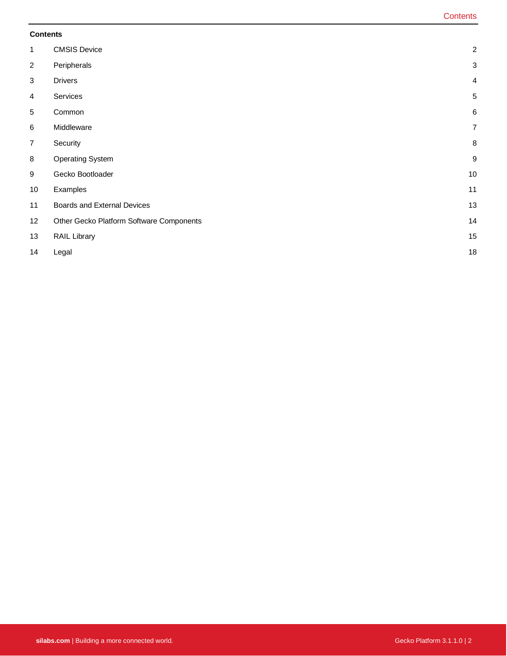#### **Contents**

| $\mathbf{1}$   | <b>CMSIS Device</b>                      | $\sqrt{2}$       |
|----------------|------------------------------------------|------------------|
| $\overline{2}$ | Peripherals                              | 3                |
| 3              | <b>Drivers</b>                           | $\overline{4}$   |
| 4              | Services                                 | $\sqrt{5}$       |
| $\sqrt{5}$     | Common                                   | 6                |
| $\,6$          | Middleware                               | $\overline{7}$   |
| $\overline{7}$ | Security                                 | $\bf 8$          |
| $\bf 8$        | <b>Operating System</b>                  | $\boldsymbol{9}$ |
| 9              | Gecko Bootloader                         | 10               |
| 10             | Examples                                 | 11               |
| 11             | Boards and External Devices              | 13               |
| 12             | Other Gecko Platform Software Components | 14               |
| 13             | RAIL Library                             | 15               |
| 14             | Legal                                    | 18               |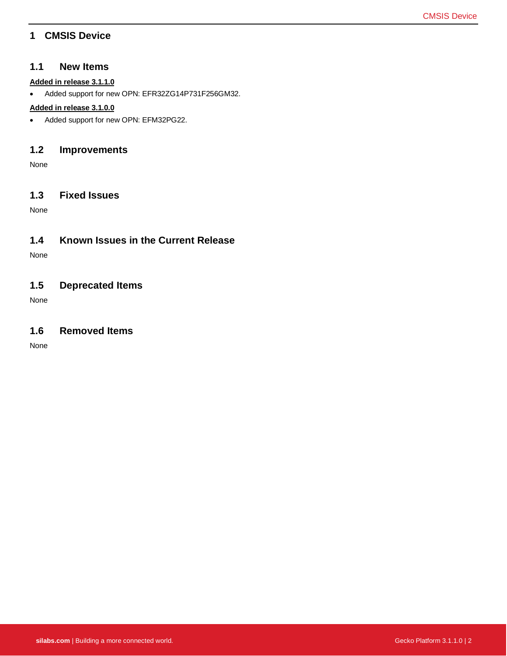### <span id="page-2-0"></span>**1 CMSIS Device**

#### **1.1 New Items**

#### **Added in release 3.1.1.0**

• Added support for new OPN: EFR32ZG14P731F256GM32.

#### **Added in release 3.1.0.0**

• Added support for new OPN: EFM32PG22.

#### **1.2 Improvements**

None

#### **1.3 Fixed Issues**

None

### **1.4 Known Issues in the Current Release**

None

### **1.5 Deprecated Items**

None

### **1.6 Removed Items**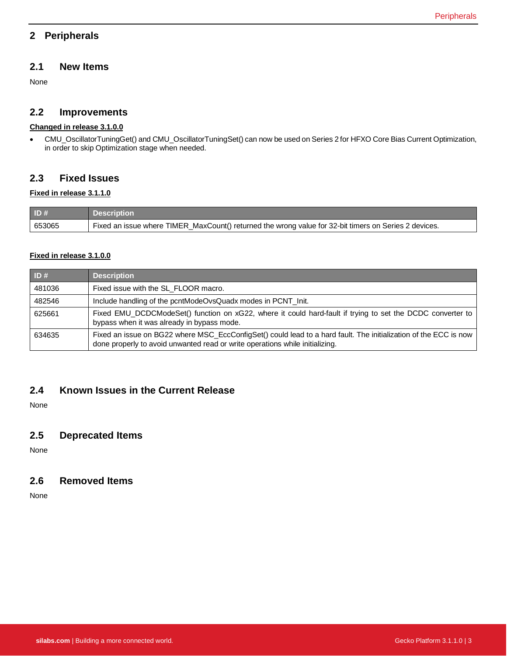### <span id="page-3-0"></span>**2 Peripherals**

### **2.1 New Items**

None

### **2.2 Improvements**

#### **Changed in release 3.1.0.0**

• CMU\_OscillatorTuningGet() and CMU\_OscillatorTuningSet() can now be used on Series 2 for HFXO Core Bias Current Optimization, in order to skip Optimization stage when needed.

### **2.3 Fixed Issues**

#### **Fixed in release 3.1.1.0**

| $\vert$ ID # | <b>Description</b>                                                                                    |
|--------------|-------------------------------------------------------------------------------------------------------|
| 653065       | Fixed an issue where TIMER_MaxCount() returned the wrong value for 32-bit timers on Series 2 devices. |

#### **Fixed in release 3.1.0.0**

| ID#    | <b>Description</b>                                                                                                                                                                               |  |
|--------|--------------------------------------------------------------------------------------------------------------------------------------------------------------------------------------------------|--|
| 481036 | Fixed issue with the SL_FLOOR macro.                                                                                                                                                             |  |
| 482546 | Include handling of the pcntModeOvsQuadx modes in PCNT_Init.                                                                                                                                     |  |
| 625661 | Fixed EMU_DCDCModeSet() function on xG22, where it could hard-fault if trying to set the DCDC converter to<br>bypass when it was already in bypass mode.                                         |  |
| 634635 | Fixed an issue on BG22 where MSC_EccConfigSet() could lead to a hard fault. The initialization of the ECC is now<br>done properly to avoid unwanted read or write operations while initializing. |  |

### **2.4 Known Issues in the Current Release**

None

### **2.5 Deprecated Items**

None

### **2.6 Removed Items**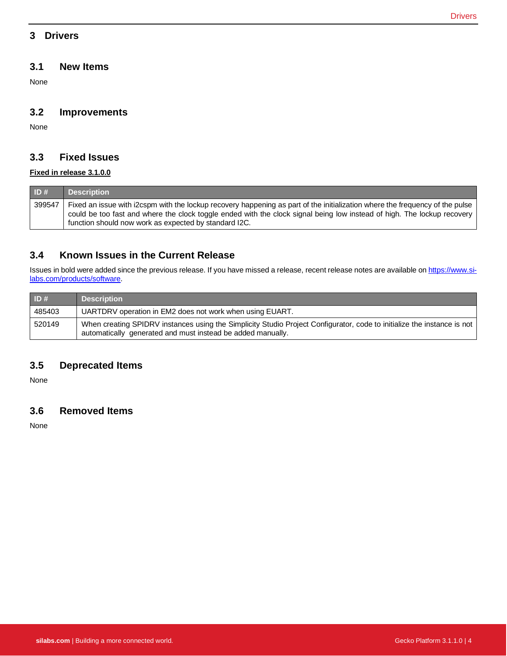### <span id="page-4-0"></span>**3 Drivers**

#### **3.1 New Items**

None

#### **3.2 Improvements**

None

### **3.3 Fixed Issues**

#### **Fixed in release 3.1.0.0**

| ID#    | <b>Description</b>                                                                                                                                                                                                                                      |
|--------|---------------------------------------------------------------------------------------------------------------------------------------------------------------------------------------------------------------------------------------------------------|
| 399547 | Fixed an issue with i2cspm with the lockup recovery happening as part of the initialization where the frequency of the pulse<br>could be too fast and where the clock toggle ended with the clock signal being low instead of high. The lockup recovery |
|        | function should now work as expected by standard I2C.                                                                                                                                                                                                   |

### **3.4 Known Issues in the Current Release**

Issues in bold were added since the previous release. If you have missed a release, recent release notes are available o[n https://www.si](https://www.silabs.com/products/software)[labs.com/products/software.](https://www.silabs.com/products/software)

| ID#    | <b>Description</b>                                                                                                                                                                     |  |
|--------|----------------------------------------------------------------------------------------------------------------------------------------------------------------------------------------|--|
| 485403 | UARTDRV operation in EM2 does not work when using EUART.                                                                                                                               |  |
| 520149 | When creating SPIDRV instances using the Simplicity Studio Project Configurator, code to initialize the instance is not<br>automatically generated and must instead be added manually. |  |

### **3.5 Deprecated Items**

None

### **3.6 Removed Items**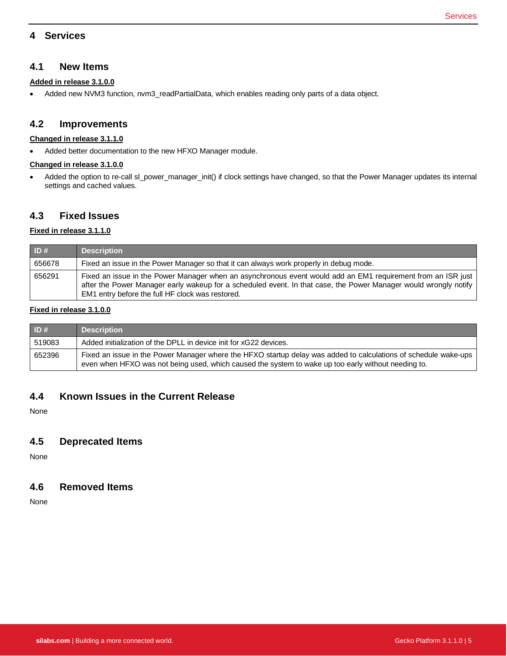### <span id="page-5-0"></span>**4 Services**

#### **4.1 New Items**

#### **Added in release 3.1.0.0**

• Added new NVM3 function, nvm3\_readPartialData, which enables reading only parts of a data object.

#### **4.2 Improvements**

#### **Changed in release 3.1.1.0**

• Added better documentation to the new HFXO Manager module.

#### **Changed in release 3.1.0.0**

• Added the option to re-call sl\_power\_manager\_init() if clock settings have changed, so that the Power Manager updates its internal settings and cached values.

### **4.3 Fixed Issues**

#### **Fixed in release 3.1.1.0**

| ID#    | <b>Description</b>                                                                                                                                                                                                                                                                   |  |
|--------|--------------------------------------------------------------------------------------------------------------------------------------------------------------------------------------------------------------------------------------------------------------------------------------|--|
| 656678 | Fixed an issue in the Power Manager so that it can always work properly in debug mode.                                                                                                                                                                                               |  |
| 656291 | Fixed an issue in the Power Manager when an asynchronous event would add an EM1 requirement from an ISR just<br>after the Power Manager early wakeup for a scheduled event. In that case, the Power Manager would wrongly notify<br>EM1 entry before the full HF clock was restored. |  |

#### **Fixed in release 3.1.0.0**

| ID#    | <b>Description</b>                                                                                                                                                                                                     |  |
|--------|------------------------------------------------------------------------------------------------------------------------------------------------------------------------------------------------------------------------|--|
| 519083 | Added initialization of the DPLL in device init for xG22 devices.                                                                                                                                                      |  |
| 652396 | Fixed an issue in the Power Manager where the HFXO startup delay was added to calculations of schedule wake-ups<br>even when HFXO was not being used, which caused the system to wake up too early without needing to. |  |

### **4.4 Known Issues in the Current Release**

None

#### **4.5 Deprecated Items**

None

#### **4.6 Removed Items**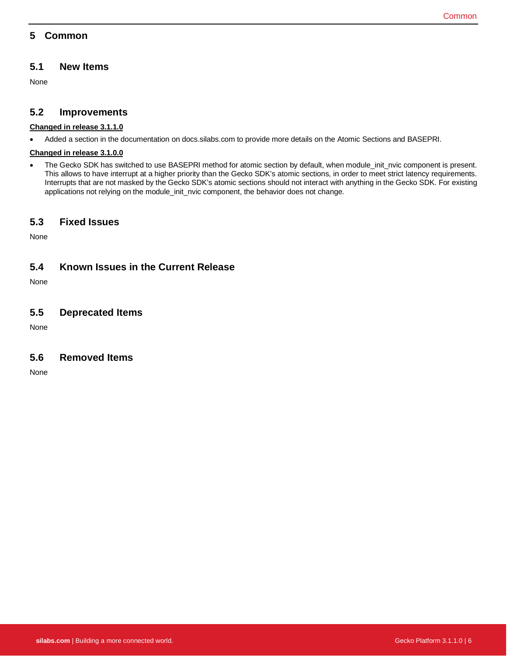### <span id="page-6-0"></span>**5 Common**

### **5.1 New Items**

None

### **5.2 Improvements**

#### **Changed in release 3.1.1.0**

• Added a section in the documentation on docs.silabs.com to provide more details on the Atomic Sections and BASEPRI.

#### **Changed in release 3.1.0.0**

• The Gecko SDK has switched to use BASEPRI method for atomic section by default, when module\_init\_nvic component is present. This allows to have interrupt at a higher priority than the Gecko SDK's atomic sections, in order to meet strict latency requirements. Interrupts that are not masked by the Gecko SDK's atomic sections should not interact with anything in the Gecko SDK. For existing applications not relying on the module\_init\_nvic component, the behavior does not change.

### **5.3 Fixed Issues**

None

### **5.4 Known Issues in the Current Release**

None

### **5.5 Deprecated Items**

None

### **5.6 Removed Items**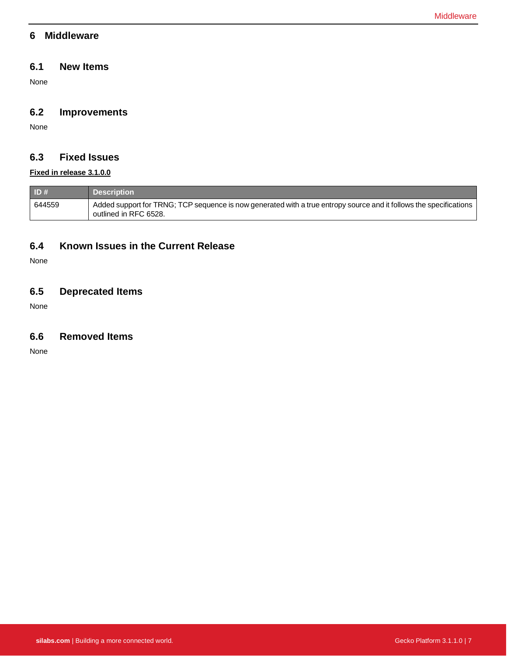### <span id="page-7-0"></span>**6 Middleware**

### **6.1 New Items**

None

### **6.2 Improvements**

None

# **6.3 Fixed Issues**

### **Fixed in release 3.1.0.0**

| $\blacksquare$ ID # | <b>Description</b>                                                                                                                          |
|---------------------|---------------------------------------------------------------------------------------------------------------------------------------------|
| 644559              | Added support for TRNG; TCP sequence is now generated with a true entropy source and it follows the specifications<br>outlined in RFC 6528. |

### **6.4 Known Issues in the Current Release**

None

### **6.5 Deprecated Items**

None

### **6.6 Removed Items**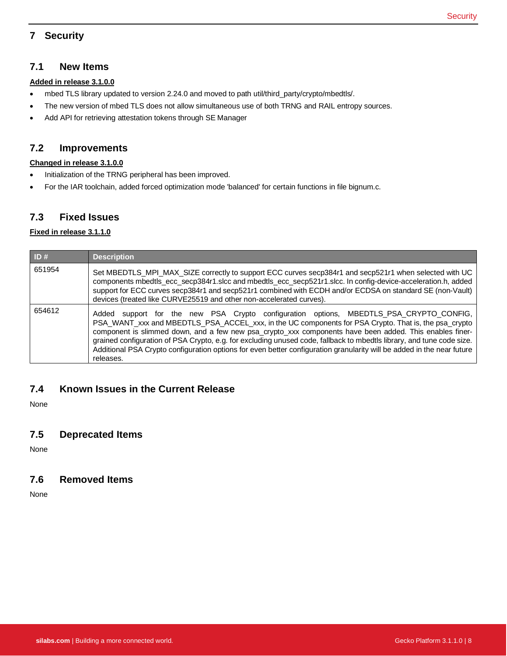# <span id="page-8-0"></span>**7 Security**

#### **7.1 New Items**

#### **Added in release 3.1.0.0**

- mbed TLS library updated to version 2.24.0 and moved to path util/third\_party/crypto/mbedtls/.
- The new version of mbed TLS does not allow simultaneous use of both TRNG and RAIL entropy sources.
- Add API for retrieving attestation tokens through SE Manager

### **7.2 Improvements**

#### **Changed in release 3.1.0.0**

- Initialization of the TRNG peripheral has been improved.
- For the IAR toolchain, added forced optimization mode 'balanced' for certain functions in file bignum.c.

#### **7.3 Fixed Issues**

#### **Fixed in release 3.1.1.0**

| ID#    | <b>Description</b>                                                                                                                                                                                                                                                                                                                                                                                                                                                                                                                                                        |  |  |
|--------|---------------------------------------------------------------------------------------------------------------------------------------------------------------------------------------------------------------------------------------------------------------------------------------------------------------------------------------------------------------------------------------------------------------------------------------------------------------------------------------------------------------------------------------------------------------------------|--|--|
| 651954 | Set MBEDTLS_MPI_MAX_SIZE correctly to support ECC curves secp384r1 and secp521r1 when selected with UC<br>components mbedtls_ecc_secp384r1.slcc and mbedtls_ecc_secp521r1.slcc. In config-device-acceleration.h, added<br>support for ECC curves secp384r1 and secp521r1 combined with ECDH and/or ECDSA on standard SE (non-Vault)<br>devices (treated like CURVE25519 and other non-accelerated curves).                                                                                                                                                                |  |  |
| 654612 | Added support for the new PSA Crypto configuration options, MBEDTLS_PSA_CRYPTO_CONFIG,<br>PSA_WANT_xxx and MBEDTLS_PSA_ACCEL_xxx, in the UC components for PSA Crypto. That is, the psa_crypto<br>component is slimmed down, and a few new psa_crypto_xxx components have been added. This enables finer-<br>grained configuration of PSA Crypto, e.g. for excluding unused code, fallback to mbedtls library, and tune code size.<br>Additional PSA Crypto configuration options for even better configuration granularity will be added in the near future<br>releases. |  |  |

### **7.4 Known Issues in the Current Release**

None

### **7.5 Deprecated Items**

None

## **7.6 Removed Items**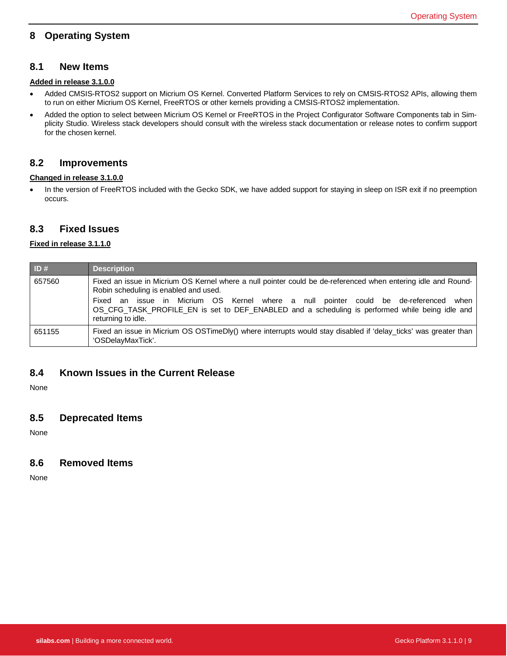### <span id="page-9-0"></span>**8 Operating System**

#### **8.1 New Items**

### **Added in release 3.1.0.0**

- Added CMSIS-RTOS2 support on Micrium OS Kernel. Converted Platform Services to rely on CMSIS-RTOS2 APIs, allowing them to run on either Micrium OS Kernel, FreeRTOS or other kernels providing a CMSIS-RTOS2 implementation.
- Added the option to select between Micrium OS Kernel or FreeRTOS in the Project Configurator Software Components tab in Simplicity Studio. Wireless stack developers should consult with the wireless stack documentation or release notes to confirm support for the chosen kernel.

#### **8.2 Improvements**

#### **Changed in release 3.1.0.0**

• In the version of FreeRTOS included with the Gecko SDK, we have added support for staying in sleep on ISR exit if no preemption occurs.

#### **8.3 Fixed Issues**

#### **Fixed in release 3.1.1.0**

| ID#    | <b>Description</b>                                                                                                                                                                                                                                                                                                                                                            |  |
|--------|-------------------------------------------------------------------------------------------------------------------------------------------------------------------------------------------------------------------------------------------------------------------------------------------------------------------------------------------------------------------------------|--|
| 657560 | Fixed an issue in Micrium OS Kernel where a null pointer could be de-referenced when entering idle and Round-<br>Robin scheduling is enabled and used.<br>an issue in Micrium OS Kernel where a null pointer could be de-referenced<br>when<br>Fixed<br>OS CFG TASK PROFILE EN is set to DEF ENABLED and a scheduling is performed while being idle and<br>returning to idle. |  |
| 651155 | Fixed an issue in Micrium OS OSTimeDly() where interrupts would stay disabled if 'delay ticks' was greater than<br>'OSDelayMaxTick'.                                                                                                                                                                                                                                          |  |

#### **8.4 Known Issues in the Current Release**

None

### **8.5 Deprecated Items**

None

#### **8.6 Removed Items**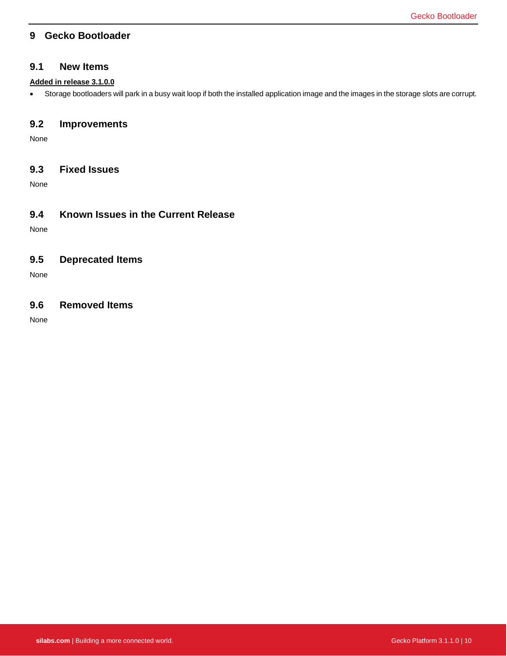### <span id="page-10-0"></span>**9 Gecko Bootloader**

#### **9.1 New Items**

#### **Added in release 3.1.0.0**

• Storage bootloaders will park in a busy wait loop if both the installed application image and the images in the storage slots are corrupt.

### **9.2 Improvements**

None

### **9.3 Fixed Issues**

None

### **9.4 Known Issues in the Current Release**

None

### **9.5 Deprecated Items**

None

### **9.6 Removed Items**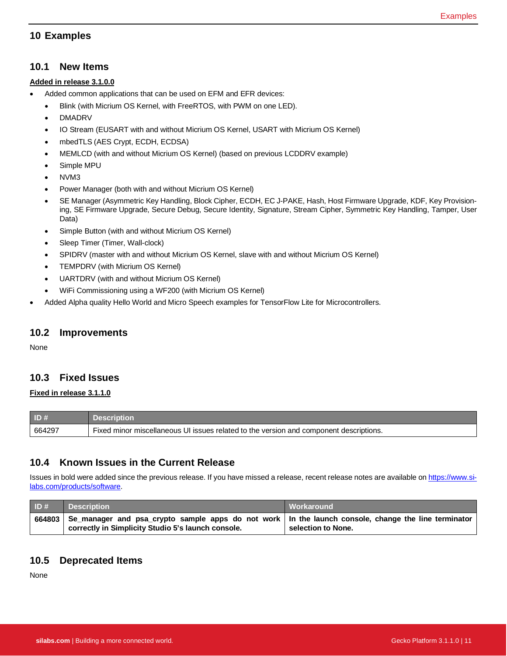### <span id="page-11-0"></span>**10 Examples**

#### **10.1 New Items**

#### **Added in release 3.1.0.0**

- Added common applications that can be used on EFM and EFR devices:
	- Blink (with Micrium OS Kernel, with FreeRTOS, with PWM on one LED).
	- DMADRV
	- IO Stream (EUSART with and without Micrium OS Kernel, USART with Micrium OS Kernel)
	- mbedTLS (AES Crypt, ECDH, ECDSA)
	- MEMLCD (with and without Micrium OS Kernel) (based on previous LCDDRV example)
	- Simple MPU
	- NVM3
	- Power Manager (both with and without Micrium OS Kernel)
	- SE Manager (Asymmetric Key Handling, Block Cipher, ECDH, EC J-PAKE, Hash, Host Firmware Upgrade, KDF, Key Provisioning, SE Firmware Upgrade, Secure Debug, Secure Identity, Signature, Stream Cipher, Symmetric Key Handling, Tamper, User Data)
	- Simple Button (with and without Micrium OS Kernel)
	- Sleep Timer (Timer, Wall-clock)
	- SPIDRV (master with and without Micrium OS Kernel, slave with and without Micrium OS Kernel)
	- TEMPDRV (with Micrium OS Kernel)
	- UARTDRV (with and without Micrium OS Kernel)
	- WiFi Commissioning using a WF200 (with Micrium OS Kernel)
- Added Alpha quality Hello World and Micro Speech examples for TensorFlow Lite for Microcontrollers.

#### **10.2 Improvements**

None

### **10.3 Fixed Issues**

#### **Fixed in release 3.1.1.0**

| ID#    | Description                                                                            |  |
|--------|----------------------------------------------------------------------------------------|--|
| 664297 | Fixed minor miscellaneous UI issues related to the version and component descriptions. |  |

### **10.4 Known Issues in the Current Release**

Issues in bold were added since the previous release. If you have missed a release, recent release notes are available o[n https://www.si](https://www.silabs.com/products/software)[labs.com/products/software.](https://www.silabs.com/products/software)

| ID# | <b>Description</b>                                                                                                                                                   | Workaround         |
|-----|----------------------------------------------------------------------------------------------------------------------------------------------------------------------|--------------------|
|     | 664803   Se_manager and psa_crypto sample apps do not work   In the launch console, change the line terminator<br>correctly in Simplicity Studio 5's launch console. | selection to None. |

### **10.5 Deprecated Items**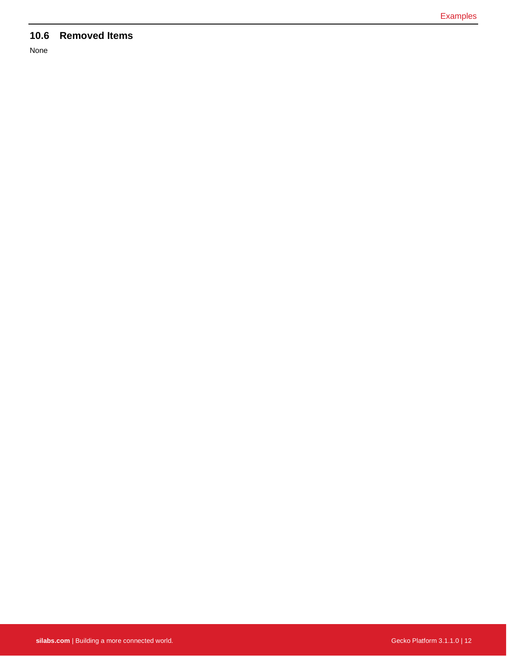# **10.6 Removed Items**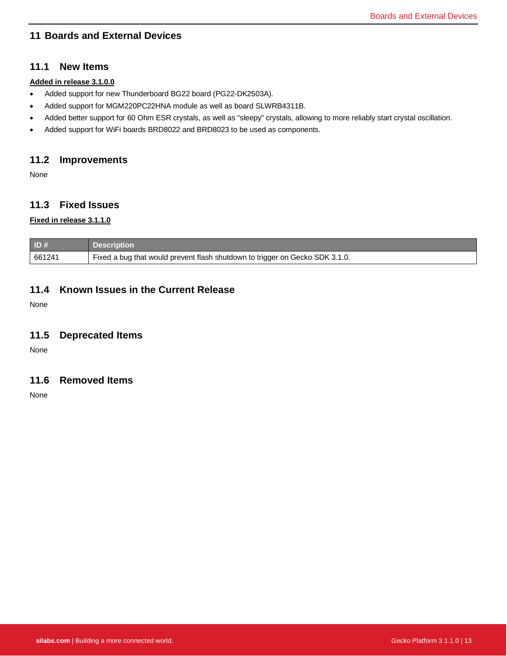### <span id="page-13-0"></span>**11 Boards and External Devices**

### **11.1 New Items**

#### **Added in release 3.1.0.0**

- Added support for new Thunderboard BG22 board (PG22-DK2503A).
- Added support for MGM220PC22HNA module as well as board SLWRB4311B.
- Added better support for 60 Ohm ESR crystals, as well as "sleepy" crystals, allowing to more reliably start crystal oscillation.
- Added support for WiFi boards BRD8022 and BRD8023 to be used as components.

### **11.2 Improvements**

None

### **11.3 Fixed Issues**

### **Fixed in release 3.1.1.0**

| ID#    | <b>Description</b>                                                           |
|--------|------------------------------------------------------------------------------|
| 661241 | Fixed a bug that would prevent flash shutdown to trigger on Gecko SDK 3.1.0. |

### **11.4 Known Issues in the Current Release**

None

### **11.5 Deprecated Items**

None

#### **11.6 Removed Items**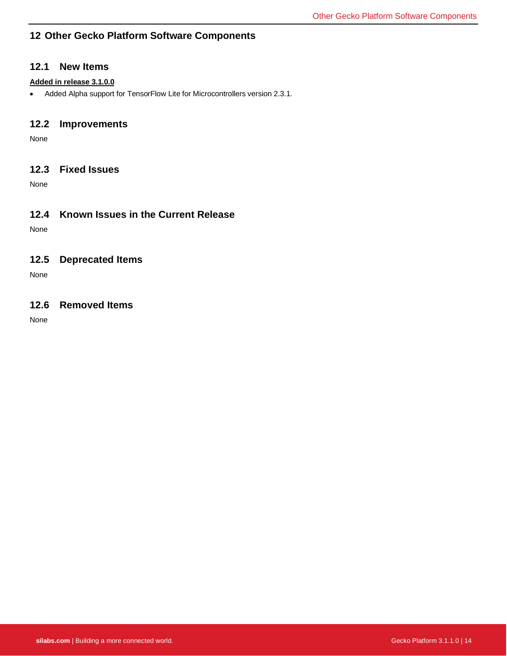### <span id="page-14-0"></span>**12 Other Gecko Platform Software Components**

#### **12.1 New Items**

#### **Added in release 3.1.0.0**

• Added Alpha support for TensorFlow Lite for Microcontrollers version 2.3.1.

### **12.2 Improvements**

None

### **12.3 Fixed Issues**

None

### **12.4 Known Issues in the Current Release**

None

### **12.5 Deprecated Items**

None

### **12.6 Removed Items**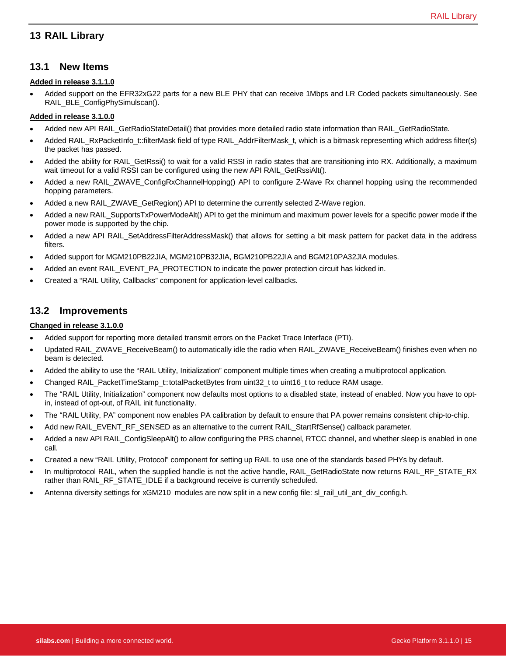### <span id="page-15-0"></span>**13 RAIL Library**

#### **13.1 New Items**

#### **Added in release 3.1.1.0**

• Added support on the EFR32xG22 parts for a new BLE PHY that can receive 1Mbps and LR Coded packets simultaneously. See RAIL\_BLE\_ConfigPhySimulscan().

#### **Added in release 3.1.0.0**

- Added new API RAIL\_GetRadioStateDetail() that provides more detailed radio state information than RAIL\_GetRadioState.
- Added RAIL\_RxPacketInfo\_t::filterMask field of type RAIL\_AddrFilterMask\_t, which is a bitmask representing which address filter(s) the packet has passed.
- Added the ability for RAIL\_GetRssi() to wait for a valid RSSI in radio states that are transitioning into RX. Additionally, a maximum wait timeout for a valid RSSI can be configured using the new API RAIL\_GetRssiAlt().
- Added a new RAIL\_ZWAVE\_ConfigRxChannelHopping() API to configure Z-Wave Rx channel hopping using the recommended hopping parameters.
- Added a new RAIL\_ZWAVE\_GetRegion() API to determine the currently selected Z-Wave region.
- Added a new RAIL\_SupportsTxPowerModeAlt() API to get the minimum and maximum power levels for a specific power mode if the power mode is supported by the chip.
- Added a new API RAIL\_SetAddressFilterAddressMask() that allows for setting a bit mask pattern for packet data in the address filters.
- Added support for MGM210PB22JIA, MGM210PB32JIA, BGM210PB22JIA and BGM210PA32JIA modules.
- Added an event RAIL\_EVENT\_PA\_PROTECTION to indicate the power protection circuit has kicked in.
- Created a "RAIL Utility, Callbacks" component for application-level callbacks.

#### **13.2 Improvements**

#### **Changed in release 3.1.0.0**

- Added support for reporting more detailed transmit errors on the Packet Trace Interface (PTI).
- Updated RAIL\_ZWAVE\_ReceiveBeam() to automatically idle the radio when RAIL\_ZWAVE\_ReceiveBeam() finishes even when no beam is detected.
- Added the ability to use the "RAIL Utility, Initialization" component multiple times when creating a multiprotocol application.
- Changed RAIL\_PacketTimeStamp\_t::totalPacketBytes from uint32\_t to uint16\_t to reduce RAM usage.
- The "RAIL Utility, Initialization" component now defaults most options to a disabled state, instead of enabled. Now you have to optin, instead of opt-out, of RAIL init functionality.
- The "RAIL Utility, PA" component now enables PA calibration by default to ensure that PA power remains consistent chip-to-chip.
- Add new RAIL\_EVENT\_RF\_SENSED as an alternative to the current RAIL\_StartRfSense() callback parameter.
- Added a new API RAIL\_ConfigSleepAlt() to allow configuring the PRS channel, RTCC channel, and whether sleep is enabled in one call.
- Created a new "RAIL Utility, Protocol" component for setting up RAIL to use one of the standards based PHYs by default.
- In multiprotocol RAIL, when the supplied handle is not the active handle, RAIL\_GetRadioState now returns RAIL\_RF\_STATE\_RX rather than RAIL\_RF\_STATE\_IDLE if a background receive is currently scheduled.
- Antenna diversity settings for xGM210 modules are now split in a new config file: sl\_rail\_util\_ant\_div\_config.h.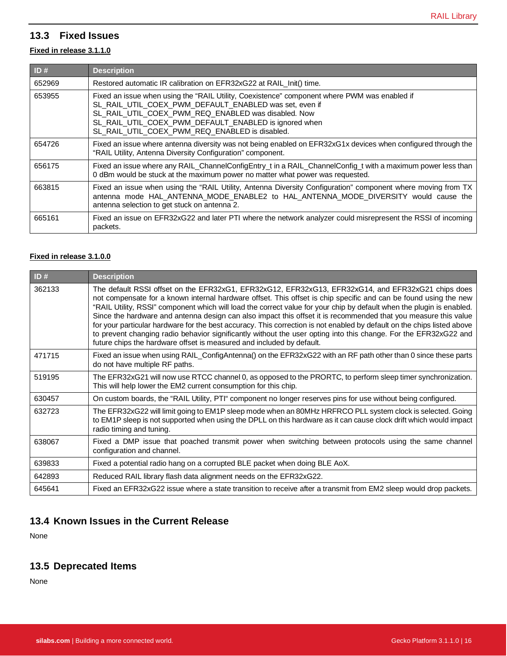# **13.3 Fixed Issues**

#### **Fixed in release 3.1.1.0**

| ID#    | <b>Description</b>                                                                                                                                                                                                                                                                                                       |
|--------|--------------------------------------------------------------------------------------------------------------------------------------------------------------------------------------------------------------------------------------------------------------------------------------------------------------------------|
| 652969 | Restored automatic IR calibration on EFR32xG22 at RAIL_Init() time.                                                                                                                                                                                                                                                      |
| 653955 | Fixed an issue when using the "RAIL Utility, Coexistence" component where PWM was enabled if<br>SL_RAIL_UTIL_COEX_PWM_DEFAULT_ENABLED was set, even if<br>SL RAIL UTIL COEX PWM REQ ENABLED was disabled. Now<br>SL RAIL UTIL COEX PWM DEFAULT ENABLED is ignored when<br>SL_RAIL_UTIL_COEX_PWM_REQ_ENABLED is disabled. |
| 654726 | Fixed an issue where antenna diversity was not being enabled on EFR32xG1x devices when configured through the<br>"RAIL Utility, Antenna Diversity Configuration" component.                                                                                                                                              |
| 656175 | Fixed an issue where any RAIL_ChannelConfigEntry_t in a RAIL_ChannelConfig_t with a maximum power less than<br>0 dBm would be stuck at the maximum power no matter what power was requested.                                                                                                                             |
| 663815 | Fixed an issue when using the "RAIL Utility, Antenna Diversity Configuration" component where moving from TX<br>antenna mode HAL ANTENNA MODE ENABLE2 to HAL ANTENNA MODE DIVERSITY would cause the<br>antenna selection to get stuck on antenna 2.                                                                      |
| 665161 | Fixed an issue on EFR32xG22 and later PTI where the network analyzer could misrepresent the RSSI of incoming<br>packets.                                                                                                                                                                                                 |

#### **Fixed in release 3.1.0.0**

| ID#    | <b>Description</b>                                                                                                                                                                                                                                                                                                                                                                                                                                                                                                                                                                                                                                                                                                                                                                         |
|--------|--------------------------------------------------------------------------------------------------------------------------------------------------------------------------------------------------------------------------------------------------------------------------------------------------------------------------------------------------------------------------------------------------------------------------------------------------------------------------------------------------------------------------------------------------------------------------------------------------------------------------------------------------------------------------------------------------------------------------------------------------------------------------------------------|
| 362133 | The default RSSI offset on the EFR32xG1, EFR32xG12, EFR32xG13, EFR32xG14, and EFR32xG21 chips does<br>not compensate for a known internal hardware offset. This offset is chip specific and can be found using the new<br>"RAIL Utility, RSSI" component which will load the correct value for your chip by default when the plugin is enabled.<br>Since the hardware and antenna design can also impact this offset it is recommended that you measure this value<br>for your particular hardware for the best accuracy. This correction is not enabled by default on the chips listed above<br>to prevent changing radio behavior significantly without the user opting into this change. For the EFR32xG22 and<br>future chips the hardware offset is measured and included by default. |
| 471715 | Fixed an issue when using RAIL_ConfigAntenna() on the EFR32xG22 with an RF path other than 0 since these parts<br>do not have multiple RF paths.                                                                                                                                                                                                                                                                                                                                                                                                                                                                                                                                                                                                                                           |
| 519195 | The EFR32xG21 will now use RTCC channel 0, as opposed to the PRORTC, to perform sleep timer synchronization.<br>This will help lower the EM2 current consumption for this chip.                                                                                                                                                                                                                                                                                                                                                                                                                                                                                                                                                                                                            |
| 630457 | On custom boards, the "RAIL Utility, PTI" component no longer reserves pins for use without being configured.                                                                                                                                                                                                                                                                                                                                                                                                                                                                                                                                                                                                                                                                              |
| 632723 | The EFR32xG22 will limit going to EM1P sleep mode when an 80MHz HRFRCO PLL system clock is selected. Going<br>to EM1P sleep is not supported when using the DPLL on this hardware as it can cause clock drift which would impact<br>radio timing and tuning.                                                                                                                                                                                                                                                                                                                                                                                                                                                                                                                               |
| 638067 | Fixed a DMP issue that poached transmit power when switching between protocols using the same channel<br>configuration and channel.                                                                                                                                                                                                                                                                                                                                                                                                                                                                                                                                                                                                                                                        |
| 639833 | Fixed a potential radio hang on a corrupted BLE packet when doing BLE AoX.                                                                                                                                                                                                                                                                                                                                                                                                                                                                                                                                                                                                                                                                                                                 |
| 642893 | Reduced RAIL library flash data alignment needs on the EFR32xG22.                                                                                                                                                                                                                                                                                                                                                                                                                                                                                                                                                                                                                                                                                                                          |
| 645641 | Fixed an EFR32xG22 issue where a state transition to receive after a transmit from EM2 sleep would drop packets.                                                                                                                                                                                                                                                                                                                                                                                                                                                                                                                                                                                                                                                                           |

# **13.4 Known Issues in the Current Release**

None

# **13.5 Deprecated Items**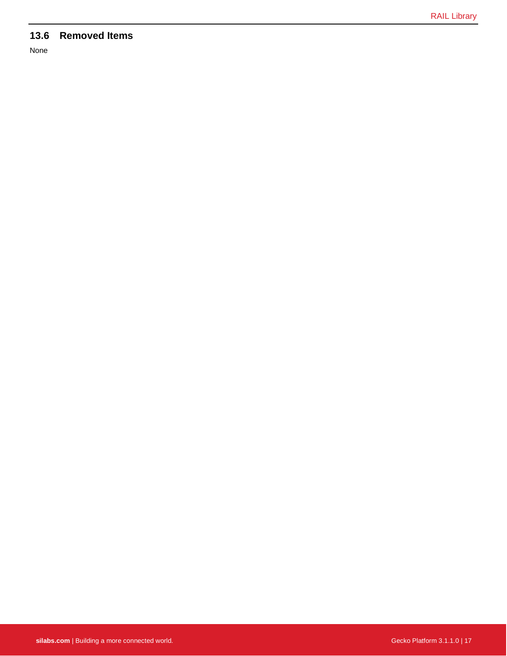# **13.6 Removed Items**